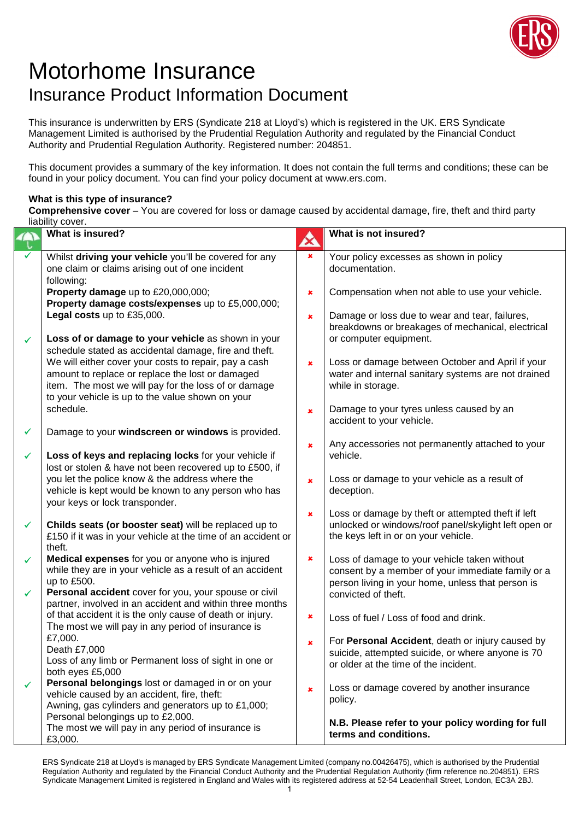

## Motorhome Insurance Insurance Product Information Document

This insurance is underwritten by ERS (Syndicate 218 at Lloyd's) which is registered in the UK. ERS Syndicate Management Limited is authorised by the Prudential Regulation Authority and regulated by the Financial Conduct Authority and Prudential Regulation Authority. Registered number: 204851.

This document provides a summary of the key information. It does not contain the full terms and conditions; these can be found in your policy document. You can find your policy document at www.ers.com.

## **What is this type of insurance?**

**Comprehensive cover** – You are covered for loss or damage caused by accidental damage, fire, theft and third party liability cover.

|              | What is insured?                                             | $\boldsymbol{\alpha}$ | What is not insured?                                 |
|--------------|--------------------------------------------------------------|-----------------------|------------------------------------------------------|
|              | Whilst driving your vehicle you'll be covered for any        | $\pmb{\times}$        | Your policy excesses as shown in policy              |
|              | one claim or claims arising out of one incident              |                       | documentation.                                       |
|              | following:                                                   |                       |                                                      |
|              | Property damage up to £20,000,000;                           | $\pmb{\times}$        | Compensation when not able to use your vehicle.      |
|              | Property damage costs/expenses up to £5,000,000;             |                       |                                                      |
|              | Legal costs up to £35,000.                                   | ×                     | Damage or loss due to wear and tear, failures,       |
|              |                                                              |                       | breakdowns or breakages of mechanical, electrical    |
| ✓            | Loss of or damage to your vehicle as shown in your           |                       | or computer equipment.                               |
|              | schedule stated as accidental damage, fire and theft.        |                       |                                                      |
|              | We will either cover your costs to repair, pay a cash        | $\pmb{\times}$        | Loss or damage between October and April if your     |
|              | amount to replace or replace the lost or damaged             |                       | water and internal sanitary systems are not drained  |
|              | item. The most we will pay for the loss of or damage         |                       | while in storage.                                    |
|              | to your vehicle is up to the value shown on your             |                       |                                                      |
|              | schedule.                                                    | $\pmb{\times}$        | Damage to your tyres unless caused by an             |
|              |                                                              |                       | accident to your vehicle.                            |
| ✓            | Damage to your windscreen or windows is provided.            |                       |                                                      |
|              |                                                              | $\pmb{\times}$        | Any accessories not permanently attached to your     |
| ✓            | Loss of keys and replacing locks for your vehicle if         |                       | vehicle.                                             |
|              | lost or stolen & have not been recovered up to £500, if      |                       |                                                      |
|              | you let the police know & the address where the              | $\pmb{\times}$        | Loss or damage to your vehicle as a result of        |
|              | vehicle is kept would be known to any person who has         |                       | deception.                                           |
|              | your keys or lock transponder.                               |                       |                                                      |
|              |                                                              | $\pmb{\times}$        | Loss or damage by theft or attempted theft if left   |
| ✓            | Childs seats (or booster seat) will be replaced up to        |                       | unlocked or windows/roof panel/skylight left open or |
|              | £150 if it was in your vehicle at the time of an accident or |                       | the keys left in or on your vehicle.                 |
|              | theft.                                                       |                       |                                                      |
| ✓            | Medical expenses for you or anyone who is injured            | $\pmb{\times}$        | Loss of damage to your vehicle taken without         |
|              | while they are in your vehicle as a result of an accident    |                       | consent by a member of your immediate family or a    |
|              | up to £500.                                                  |                       | person living in your home, unless that person is    |
| $\checkmark$ | Personal accident cover for you, your spouse or civil        |                       | convicted of theft.                                  |
|              | partner, involved in an accident and within three months     |                       |                                                      |
|              | of that accident it is the only cause of death or injury.    | $\pmb{\times}$        | Loss of fuel / Loss of food and drink.               |
|              | The most we will pay in any period of insurance is           |                       |                                                      |
|              | £7,000.                                                      | $\pmb{\times}$        | For Personal Accident, death or injury caused by     |
|              | Death £7,000                                                 |                       | suicide, attempted suicide, or where anyone is 70    |
|              | Loss of any limb or Permanent loss of sight in one or        |                       | or older at the time of the incident.                |
|              | both eyes £5,000                                             |                       |                                                      |
| ✔            | Personal belongings lost or damaged in or on your            | $\pmb{x}$             | Loss or damage covered by another insurance          |
|              | vehicle caused by an accident, fire, theft:                  |                       | policy.                                              |
|              | Awning, gas cylinders and generators up to £1,000;           |                       |                                                      |
|              | Personal belongings up to £2,000.                            |                       | N.B. Please refer to your policy wording for full    |
|              | The most we will pay in any period of insurance is           |                       | terms and conditions.                                |
|              | £3,000.                                                      |                       |                                                      |

ERS Syndicate 218 at Lloyd's is managed by ERS Syndicate Management Limited (company no.00426475), which is authorised by the Prudential Regulation Authority and regulated by the Financial Conduct Authority and the Prudential Regulation Authority (firm reference no.204851). ERS Syndicate Management Limited is registered in England and Wales with its registered address at 52-54 Leadenhall Street, London, EC3A 2BJ.